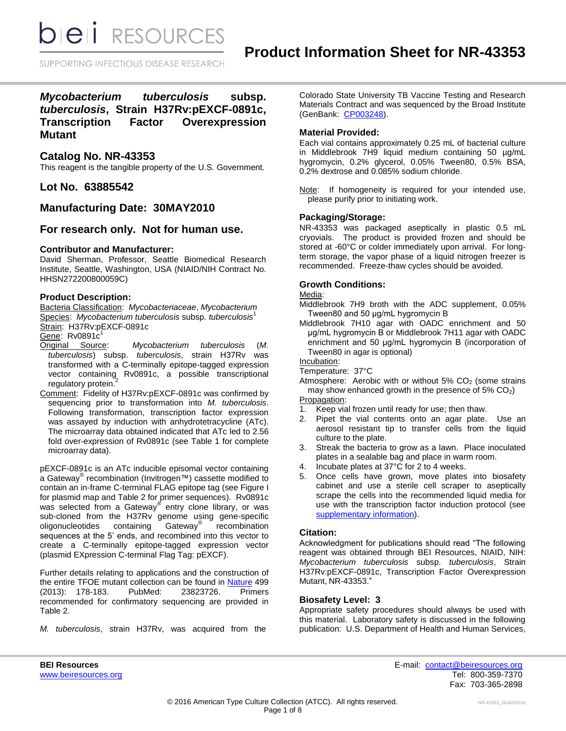SUPPORTING INFECTIOUS DISEASE RESEARCH

*Mycobacterium tuberculosis* **subsp.**  *tuberculosis***, Strain H37Rv:pEXCF-0891c, Transcription Factor Overexpression Mutant**

## **Catalog No. NR-43353**

This reagent is the tangible property of the U.S. Government.

**Lot No. 63885542**

# **Manufacturing Date: 30MAY2010**

## **For research only. Not for human use.**

## **Contributor and Manufacturer:**

David Sherman, Professor, Seattle Biomedical Research Institute, Seattle, Washington, USA (NIAID/NIH Contract No. HHSN272200800059C)

## **Product Description:**

Bacteria Classification: *Mycobacteriaceae*, *Mycobacterium* Species: *Mycobacterium tuberculosis* subsp. *tuberculosis*<sup>1</sup> Strain: H37Rv:pEXCF-0891c

- Gene: Rv0891c<sup>1</sup><br>Original Source:  $Mycobacterium tuberculosis (M.$ *tuberculosis*) subsp. *tuberculosis*, strain H37Rv was transformed with a C-terminally epitope-tagged expression vector containing Rv0891c, a possible transcriptional<br>regulatory protein.<sup>2</sup> regulatory protein.
- Comment: Fidelity of H37Rv:pEXCF-0891c was confirmed by sequencing prior to transformation into *M. tuberculosis*. Following transformation, transcription factor expression was assayed by induction with anhydrotetracycline (ATc). The microarray data obtained indicated that ATc led to 2.56 fold over-expression of Rv0891c (see Table 1 for complete microarray data).

pEXCF-0891c is an ATc inducible episomal vector containing a Gateway® recombination (Invitrogen™) cassette modified to contain an in-frame C-terminal FLAG epitope tag (see Figure I for plasmid map and Table 2 for primer sequences). Rv0891c was selected from a Gateway<sup>®</sup> entry clone library, or was sub-cloned from the H37Rv genome using gene-specific oligonucleotides containing Gateway®  $\overline{\text{Gateway}}^{\text{max}}$  recombination sequences at the 5' ends, and recombined into this vector to create a C-terminally epitope-tagged expression vector (plasmid EXpression C-terminal Flag Tag: pEXCF).

Further details relating to applications and the construction of the entire TFOE mutant collection can be found in [Nature](http://www.nature.com/nature/journal/v499/n7457/full/nature12337.html) 499 (2013): 178-183. PubMed: 23823726. Primers recommended for confirmatory sequencing are provided in Table 2.

*M. tuberculosis*, strain H37Rv, was acquired from the

Colorado State University TB Vaccine Testing and Research Materials Contract and was sequenced by the Broad Institute (GenBank: [CP003248\)](http://www.ncbi.nlm.nih.gov/nuccore/CP003248).

## **Material Provided:**

Each vial contains approximately 0.25 mL of bacterial culture in Middlebrook 7H9 liquid medium containing 50 µg/mL hygromycin, 0.2% glycerol, 0.05% Tween80, 0.5% BSA, 0.2% dextrose and 0.085% sodium chloride.

Note: If homogeneity is required for your intended use, please purify prior to initiating work.

## **Packaging/Storage:**

NR-43353 was packaged aseptically in plastic 0.5 mL cryovials. The product is provided frozen and should be stored at -60°C or colder immediately upon arrival. For longterm storage, the vapor phase of a liquid nitrogen freezer is recommended. Freeze-thaw cycles should be avoided.

## **Growth Conditions:**

## Media:

Middlebrook 7H9 broth with the ADC supplement, 0.05% Tween80 and 50 μg/mL hygromycin B

Middlebrook 7H10 agar with OADC enrichment and 50 μg/mL hygromycin B or Middlebrook 7H11 agar with OADC enrichment and 50 μg/mL hygromycin B (incorporation of Tween80 in agar is optional)

Incubation:

Temperature: 37°C

Atmosphere: Aerobic with or without  $5\%$  CO<sub>2</sub> (some strains may show enhanced growth in the presence of  $5\%$  CO<sub>2</sub>) Propagation:

- 1. Keep vial frozen until ready for use; then thaw.
- 2. Pipet the vial contents onto an agar plate. Use an aerosol resistant tip to transfer cells from the liquid culture to the plate.
- 3. Streak the bacteria to grow as a lawn. Place inoculated plates in a sealable bag and place in warm room.
- 4. Incubate plates at 37°C for 2 to 4 weeks.
- 5. Once cells have grown, move plates into biosafety cabinet and use a sterile cell scraper to aseptically scrape the cells into the recommended liquid media for use with the transcription factor induction protocol (see [supplementary information\)](http://www.nature.com/nature/journal/v499/n7457/extref/nature12337-s1.pdf).

## **Citation:**

Acknowledgment for publications should read "The following reagent was obtained through BEI Resources, NIAID, NIH: *Mycobacterium tuberculosis* subsp. *tuberculosis*, Strain H37Rv:pEXCF-0891c, Transcription Factor Overexpression Mutant, NR-43353."

#### **Biosafety Level: 3**

Appropriate safety procedures should always be used with this material. Laboratory safety is discussed in the following publication: U.S. Department of Health and Human Services,

**BEI Resources** E-mail: [contact@beiresources.org](mailto:contact@beiresources.org) [www.beiresources.org](http://www.beiresources.org/) **Tel: 800-359-7370** Fax: 703-365-2898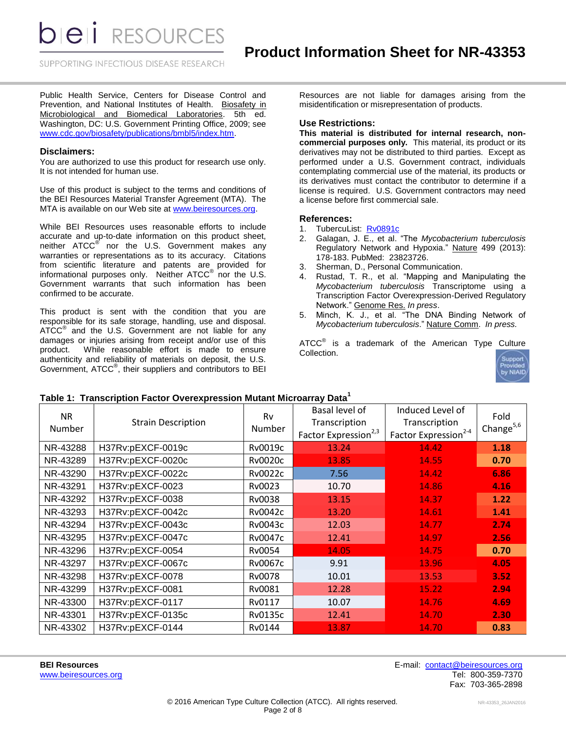*DIEI RESOURCES* 

SUPPORTING INFECTIOUS DISEASE RESEARCH

Public Health Service, Centers for Disease Control and Prevention, and National Institutes of Health. Biosafety in Microbiological and Biomedical Laboratories. 5th ed. Washington, DC: U.S. Government Printing Office, 2009; see [www.cdc.gov/biosafety/publications/bmbl5/index.htm.](http://www.cdc.gov/biosafety/publications/bmbl5/index.htm)

#### **Disclaimers:**

You are authorized to use this product for research use only. It is not intended for human use.

Use of this product is subject to the terms and conditions of the BEI Resources Material Transfer Agreement (MTA). The MTA is available on our Web site at [www.beiresources.org.](http://www.beiresources.org/)

While BEI Resources uses reasonable efforts to include accurate and up-to-date information on this product sheet, neither ATCC<sup>®</sup> nor the U.S. Government makes any warranties or representations as to its accuracy. Citations from scientific literature and patents are provided for informational purposes only. Neither  $ATCC^{\circledast}$  nor the U.S. Government warrants that such information has been confirmed to be accurate.

This product is sent with the condition that you are responsible for its safe storage, handling, use and disposal. ATCC<sup>®</sup> and the U.S. Government are not liable for any damages or injuries arising from receipt and/or use of this product. While reasonable effort is made to ensure authenticity and reliability of materials on deposit, the U.S. Government, ATCC®, their suppliers and contributors to BEI

Resources are not liable for damages arising from the misidentification or misrepresentation of products.

## **Use Restrictions:**

**This material is distributed for internal research, noncommercial purposes only.** This material, its product or its derivatives may not be distributed to third parties. Except as performed under a U.S. Government contract, individuals contemplating commercial use of the material, its products or its derivatives must contact the contributor to determine if a license is required. U.S. Government contractors may need a license before first commercial sale.

#### **References:**

- 1. TubercuList: [Rv0891c](http://tuberculist.epfl.ch/quicksearch.php?gene+name=Rv0891c)
- 2. Galagan, J. E., et al. "The *Mycobacterium tuberculosis* Regulatory Network and Hypoxia." Nature 499 (2013): 178-183. PubMed: 23823726.
- 3. Sherman, D., Personal Communication.<br>4. Rustad, T. R.. et al. "Mapning and I
- Rustad, T. R., et al. "Mapping and Manipulating the *Mycobacterium tuberculosis* Transcriptome using a Transcription Factor Overexpression-Derived Regulatory Network." Genome Res. *In press*.
- 5. Minch, K. J., et al. "The DNA Binding Network of *Mycobacterium tuberculosis*." Nature Comm. *In press.*

ATCC $^{\circ}$  is a trademark of the American Type Culture Collection.



#### **Table 1: Transcription Factor Overexpression Mutant Microarray Data<sup>1</sup>**

| <b>NR</b><br>Number | <b>Strain Description</b> | Basal level of<br>Rv<br>Transcription<br>Number<br>Factor Expression <sup>2,3</sup> |       | Induced Level of<br>Transcription<br>Factor Expression <sup>2-4</sup> | Fold<br>Change $5,6$ |
|---------------------|---------------------------|-------------------------------------------------------------------------------------|-------|-----------------------------------------------------------------------|----------------------|
| NR-43288            | H37Rv:pEXCF-0019c         | Rv0019c                                                                             | 13.24 | 14.42                                                                 | 1.18                 |
| NR-43289            | H37Rv:pEXCF-0020c         | Rv0020c                                                                             | 13.85 | 14.55                                                                 | 0.70                 |
| NR-43290            | H37Rv:pEXCF-0022c         | Rv0022c                                                                             | 7.56  | 14.42                                                                 | 6.86                 |
| NR-43291            | H37Rv:pEXCF-0023          | Rv0023                                                                              | 10.70 | 14.86                                                                 | 4.16                 |
| NR-43292            | H37Rv:pEXCF-0038          | Rv0038                                                                              | 13.15 | 14.37                                                                 | 1.22                 |
| NR-43293            | H37Rv:pEXCF-0042c         | Rv0042c                                                                             | 13.20 | 14.61                                                                 | 1.41                 |
| NR-43294            | H37Rv:pEXCF-0043c         | Rv0043c                                                                             | 12.03 | 14.77                                                                 | 2.74                 |
| NR-43295            | H37Rv:pEXCF-0047c         | Rv0047c                                                                             | 12.41 | 14.97                                                                 | 2.56                 |
| NR-43296            | H37Rv:pEXCF-0054          | Rv0054                                                                              | 14.05 | 14.75                                                                 | 0.70                 |
| NR-43297            | H37Rv:pEXCF-0067c         | Rv0067c                                                                             | 9.91  | 13.96                                                                 | 4.05                 |
| NR-43298            | H37Rv:pEXCF-0078          | Rv0078                                                                              | 10.01 | 13.53                                                                 | 3.52                 |
| NR-43299            | H37Rv:pEXCF-0081          | Rv0081                                                                              | 12.28 | 15.22                                                                 | 2.94                 |
| NR-43300            | H37Rv:pEXCF-0117          | Rv0117                                                                              | 10.07 | 14.76                                                                 | 4.69                 |
| NR-43301            | H37Rv:pEXCF-0135c         | Rv0135c                                                                             | 12.41 | 14.70                                                                 | 2.30                 |
| NR-43302            | H37Rv:pEXCF-0144          | Rv0144                                                                              | 13.87 | 14.70                                                                 | 0.83                 |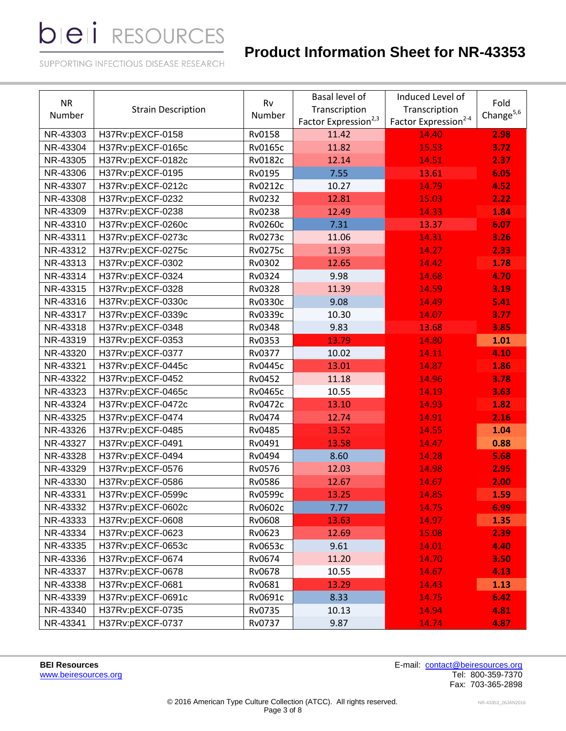# **Product Information Sheet for NR-43353**

SUPPORTING INFECTIOUS DISEASE RESEARCH

| <b>NR</b><br>Number | <b>Strain Description</b> | Basal level of<br>Rv<br>Transcription<br>Number<br>Factor Expression <sup>2,3</sup> |       | Induced Level of<br>Transcription<br>Factor Expression <sup>2-4</sup> | Fold<br>Change $5,6$ |
|---------------------|---------------------------|-------------------------------------------------------------------------------------|-------|-----------------------------------------------------------------------|----------------------|
| NR-43303            | H37Rv:pEXCF-0158          | Rv0158                                                                              | 11.42 | 14.40                                                                 | 2.98                 |
| NR-43304            | H37Rv:pEXCF-0165c         | <b>Rv0165c</b>                                                                      | 11.82 | 15.53                                                                 | 3.72                 |
| NR-43305            | H37Rv:pEXCF-0182c         | <b>Rv0182c</b>                                                                      | 12.14 | 14.51                                                                 | 2.37                 |
| NR-43306            | H37Rv:pEXCF-0195          | Rv0195                                                                              | 7.55  | 13.61                                                                 | 6.05                 |
| NR-43307            | H37Rv:pEXCF-0212c         | <b>Rv0212c</b>                                                                      | 10.27 | 14.79                                                                 | 4.52                 |
| NR-43308            | H37Rv:pEXCF-0232          | Rv0232                                                                              | 12.81 | 15.03                                                                 | 2.22                 |
| NR-43309            | H37Rv:pEXCF-0238          | Rv0238                                                                              | 12.49 | 14.33                                                                 | 1.84                 |
| NR-43310            | H37Rv:pEXCF-0260c         | <b>Rv0260c</b>                                                                      | 7.31  | 13.37                                                                 | 6.07                 |
| NR-43311            | H37Rv:pEXCF-0273c         | <b>Rv0273c</b>                                                                      | 11.06 | 14.31                                                                 | 3.26                 |
| NR-43312            | H37Rv:pEXCF-0275c         | <b>Rv0275c</b>                                                                      | 11.93 | 14.27                                                                 | 2.33                 |
| NR-43313            | H37Rv:pEXCF-0302          | Rv0302                                                                              | 12.65 | 14.42                                                                 | 1.78                 |
| NR-43314            | H37Rv:pEXCF-0324          | Rv0324                                                                              | 9.98  | 14.68                                                                 | 4.70                 |
| NR-43315            | H37Rv:pEXCF-0328          | Rv0328                                                                              | 11.39 | 14.59                                                                 | 3.19                 |
| NR-43316            | H37Rv:pEXCF-0330c         | Rv0330c                                                                             | 9.08  | 14.49                                                                 | 5.41                 |
| NR-43317            | H37Rv:pEXCF-0339c         | Rv0339c                                                                             | 10.30 | 14.07                                                                 | 3.77                 |
| NR-43318            | H37Rv:pEXCF-0348          | Rv0348                                                                              | 9.83  | 13.68                                                                 | 3.85                 |
| NR-43319            | H37Rv:pEXCF-0353          | Rv0353                                                                              | 13.79 | 14.80                                                                 | 1.01                 |
| NR-43320            | H37Rv:pEXCF-0377          | Rv0377                                                                              | 10.02 | 14.11                                                                 | 4.10                 |
| NR-43321            | H37Rv:pEXCF-0445c         | <b>Rv0445c</b>                                                                      | 13.01 | 14.87                                                                 | 1.86                 |
| NR-43322            | H37Rv:pEXCF-0452          | Rv0452                                                                              | 11.18 | 14.96                                                                 | 3.78                 |
| NR-43323            | H37Rv:pEXCF-0465c         | <b>Rv0465c</b>                                                                      | 10.55 | 14.19                                                                 | 3.63                 |
| NR-43324            | H37Rv:pEXCF-0472c         | <b>Rv0472c</b>                                                                      | 13.10 | 14.93                                                                 | 1.82                 |
| NR-43325            | H37Rv:pEXCF-0474          | Rv0474                                                                              | 12.74 | 14.91                                                                 | 2.16                 |
| NR-43326            | H37Rv:pEXCF-0485          | Rv0485                                                                              | 13.52 | 14.55                                                                 | 1.04                 |
| NR-43327            | H37Rv:pEXCF-0491          | Rv0491                                                                              | 13.58 | 14.47                                                                 | 0.88                 |
| NR-43328            | H37Rv:pEXCF-0494          | Rv0494                                                                              | 8.60  | 14.28                                                                 | 5.68                 |
| NR-43329            | H37Rv:pEXCF-0576          | Rv0576                                                                              | 12.03 | 14.98                                                                 | 2.95                 |
| NR-43330            | H37Rv:pEXCF-0586          | Rv0586                                                                              | 12.67 | 14.67                                                                 | 2.00                 |
| NR-43331            | H37Rv:pEXCF-0599c         | Rv0599c                                                                             | 13.25 | 14.85                                                                 | 1.59                 |
| NR-43332            | H37Rv:pEXCF-0602c         | Rv0602c                                                                             | 7.77  | 14.75                                                                 | 6.99                 |
| NR-43333            | H37Rv:pEXCF-0608          | Rv0608                                                                              | 13.63 | 14.97                                                                 | 1.35                 |
| NR-43334            | H37Rv:pEXCF-0623          | Rv0623                                                                              | 12.69 | 15.08                                                                 | 2.39                 |
| NR-43335            | H37Rv:pEXCF-0653c         | Rv0653c                                                                             | 9.61  | 14.01                                                                 | 4.40                 |
| NR-43336            | H37Rv:pEXCF-0674          | Rv0674                                                                              | 11.20 | 14.70                                                                 | 3.50                 |
| NR-43337            | H37Rv:pEXCF-0678          | Rv0678                                                                              | 10.55 | 14.67                                                                 | 4.13                 |
| NR-43338            | H37Rv:pEXCF-0681          | Rv0681                                                                              | 13.29 | 14.43                                                                 | 1.13                 |
| NR-43339            | H37Rv:pEXCF-0691c         | Rv0691c                                                                             | 8.33  | 14.75                                                                 | 6.42                 |
| NR-43340            | H37Rv:pEXCF-0735          | Rv0735                                                                              | 10.13 | 14.94                                                                 | 4.81                 |
| NR-43341            | H37Rv:pEXCF-0737          | Rv0737                                                                              | 9.87  | 14.74                                                                 | 4.87                 |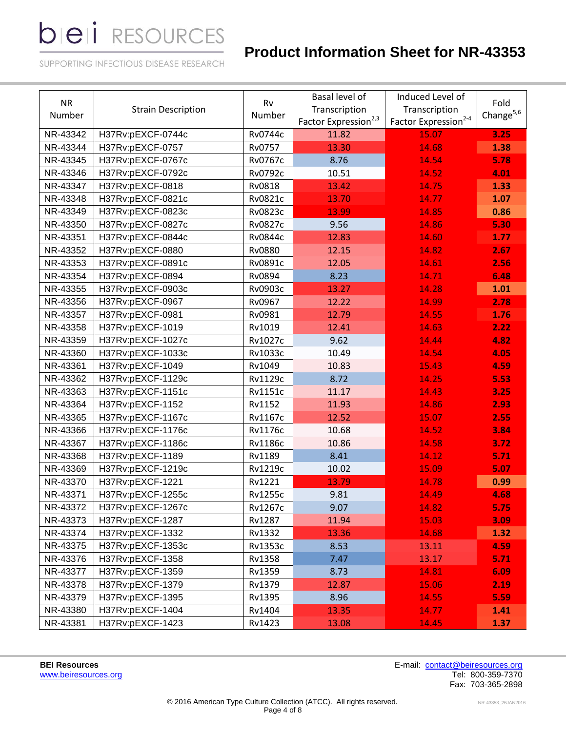# **Product Information Sheet for NR-43353**

SUPPORTING INFECTIOUS DISEASE RESEARCH

| <b>NR</b><br>Number | <b>Strain Description</b> | Rv<br>Number     | Basal level of<br>Transcription<br>Factor Expression <sup>2,3</sup> | Induced Level of<br>Transcription<br>Factor Expression <sup>2-4</sup> | Fold<br>Change $5,6$ |
|---------------------|---------------------------|------------------|---------------------------------------------------------------------|-----------------------------------------------------------------------|----------------------|
| NR-43342            | H37Rv:pEXCF-0744c         | Rv0744c<br>11.82 |                                                                     | 15.07                                                                 | 3.25                 |
| NR-43344            | H37Rv:pEXCF-0757          | Rv0757           | 13.30                                                               | 14.68                                                                 | 1.38                 |
| NR-43345            | H37Rv:pEXCF-0767c         | Rv0767c          | 8.76                                                                | 14.54                                                                 | 5.78                 |
| NR-43346            | H37Rv:pEXCF-0792c         | <b>Rv0792c</b>   | 10.51                                                               | 14.52                                                                 | 4.01                 |
| NR-43347            | H37Rv:pEXCF-0818          | Rv0818           | 13.42                                                               | 14.75                                                                 | 1.33                 |
| NR-43348            | H37Rv:pEXCF-0821c         | Rv0821c          | 13.70                                                               | 14.77                                                                 | 1.07                 |
| NR-43349            | H37Rv:pEXCF-0823c         | Rv0823c          | 13.99                                                               | 14.85                                                                 | 0.86                 |
| NR-43350            | H37Rv:pEXCF-0827c         | <b>Rv0827c</b>   | 9.56                                                                | 14.86                                                                 | 5.30                 |
| NR-43351            | H37Rv:pEXCF-0844c         | Rv0844c          | 12.83                                                               | 14.60                                                                 | 1.77                 |
| NR-43352            | H37Rv:pEXCF-0880          | <b>Rv0880</b>    | 12.15                                                               | 14.82                                                                 | 2.67                 |
| NR-43353            | H37Rv:pEXCF-0891c         | Rv0891c          | 12.05                                                               | 14.61                                                                 | 2.56                 |
| NR-43354            | H37Rv:pEXCF-0894          | Rv0894           | 8.23                                                                | 14.71                                                                 | 6.48                 |
| NR-43355            | H37Rv:pEXCF-0903c         | Rv0903c          | 13.27                                                               | 14.28                                                                 | 1.01                 |
| NR-43356            | H37Rv:pEXCF-0967          | Rv0967           | 12.22                                                               | 14.99                                                                 | 2.78                 |
| NR-43357            | H37Rv:pEXCF-0981          | Rv0981           | 12.79                                                               | 14.55                                                                 | 1.76                 |
| NR-43358            | H37Rv:pEXCF-1019          | Rv1019           | 12.41                                                               | 14.63                                                                 | 2.22                 |
| NR-43359            | H37Rv:pEXCF-1027c         | Rv1027c          | 9.62                                                                | 14.44                                                                 | 4.82                 |
| NR-43360            | H37Rv:pEXCF-1033c         | Rv1033c          | 10.49                                                               | 14.54                                                                 | 4.05                 |
| NR-43361            | H37Rv:pEXCF-1049          | Rv1049           | 10.83                                                               | 15.43                                                                 | 4.59                 |
| NR-43362            | H37Rv:pEXCF-1129c         | <b>Rv1129c</b>   | 8.72                                                                | 14.25                                                                 | 5.53                 |
| NR-43363            | H37Rv:pEXCF-1151c         | <b>Rv1151c</b>   | 11.17                                                               | 14.43                                                                 | 3.25                 |
| NR-43364            | H37Rv:pEXCF-1152          | Rv1152           | 11.93                                                               | 14.86                                                                 | 2.93                 |
| NR-43365            | H37Rv:pEXCF-1167c         | Rv1167c          | 12.52                                                               | 15.07                                                                 | 2.55                 |
| NR-43366            | H37Rv:pEXCF-1176c         | <b>Rv1176c</b>   | 10.68                                                               | 14.52                                                                 | 3.84                 |
| NR-43367            | H37Rv:pEXCF-1186c         | <b>Rv1186c</b>   | 10.86                                                               | 14.58                                                                 | 3.72                 |
| NR-43368            | H37Rv:pEXCF-1189          | Rv1189           | 8.41                                                                | 14.12                                                                 | 5.71                 |
| NR-43369            | H37Rv:pEXCF-1219c         | Rv1219c          | 10.02                                                               | 15.09                                                                 | 5.07                 |
| NR-43370            | H37Rv:pEXCF-1221          | Rv1221           | 13.79                                                               | 14.78                                                                 | 0.99                 |
| NR-43371            | H37Rv:pEXCF-1255c         | <b>Rv1255c</b>   | 9.81                                                                | 14.49                                                                 | 4.68                 |
| NR-43372            | H37Rv:pEXCF-1267c         | Rv1267c          | 9.07                                                                | 14.82                                                                 | 5.75                 |
| NR-43373            | H37Rv:pEXCF-1287          | Rv1287           | 11.94                                                               | 15.03                                                                 | 3.09                 |
| NR-43374            | H37Rv:pEXCF-1332          | Rv1332           | 13.36                                                               | 14.68                                                                 | 1.32                 |
| NR-43375            | H37Rv:pEXCF-1353c         | Rv1353c          | 8.53                                                                | 13.11                                                                 | 4.59                 |
| NR-43376            | H37Rv:pEXCF-1358          | Rv1358           | 7.47                                                                | 13.17                                                                 | 5.71                 |
| NR-43377            | H37Rv:pEXCF-1359          | Rv1359           | 8.73                                                                | 14.81                                                                 | 6.09                 |
| NR-43378            | H37Rv:pEXCF-1379          | Rv1379           | 12.87                                                               | 15.06                                                                 | 2.19                 |
| NR-43379            | H37Rv:pEXCF-1395          | Rv1395           | 8.96                                                                | 14.55                                                                 | 5.59                 |
| NR-43380            | H37Rv:pEXCF-1404          | Rv1404           | 13.35                                                               | 14.77                                                                 | 1.41                 |
| NR-43381            | H37Rv:pEXCF-1423          | Rv1423           | 13.08                                                               | 14.45                                                                 | 1.37                 |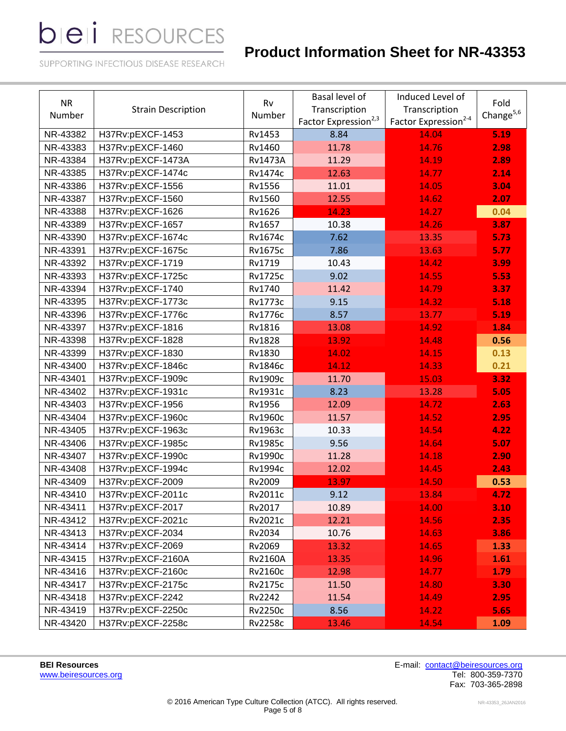# **Product Information Sheet for NR-43353**

SUPPORTING INFECTIOUS DISEASE RESEARCH

| <b>NR</b><br>Number | <b>Strain Description</b> | Basal level of<br>Rv<br>Transcription<br>Number<br>Factor Expression <sup>2,3</sup> |       | Induced Level of<br>Transcription<br>Factor Expression <sup>2-4</sup> | Fold<br>Change $5,6$ |
|---------------------|---------------------------|-------------------------------------------------------------------------------------|-------|-----------------------------------------------------------------------|----------------------|
| NR-43382            | H37Rv:pEXCF-1453          | Rv1453                                                                              | 8.84  | 14.04                                                                 | 5.19                 |
| NR-43383            | H37Rv:pEXCF-1460          | Rv1460                                                                              | 11.78 | 14.76                                                                 | 2.98                 |
| NR-43384            | H37Rv:pEXCF-1473A         | <b>Rv1473A</b>                                                                      | 11.29 | 14.19                                                                 | 2.89                 |
| NR-43385            | H37Rv:pEXCF-1474c         | Rv1474c                                                                             | 12.63 | 14.77                                                                 | 2.14                 |
| NR-43386            | H37Rv:pEXCF-1556          | Rv1556                                                                              | 11.01 | 14.05                                                                 | 3.04                 |
| NR-43387            | H37Rv:pEXCF-1560          | Rv1560                                                                              | 12.55 | 14.62                                                                 | 2.07                 |
| NR-43388            | H37Rv:pEXCF-1626          | Rv1626                                                                              | 14.23 | 14.27                                                                 | 0.04                 |
| NR-43389            | H37Rv:pEXCF-1657          | Rv1657                                                                              | 10.38 | 14.26                                                                 | 3.87                 |
| NR-43390            | H37Rv:pEXCF-1674c         | Rv1674c                                                                             | 7.62  | 13.35                                                                 | 5.73                 |
| NR-43391            | H37Rv:pEXCF-1675c         | <b>Rv1675c</b>                                                                      | 7.86  | 13.63                                                                 | 5.77                 |
| NR-43392            | H37Rv:pEXCF-1719          | Rv1719                                                                              | 10.43 | 14.42                                                                 | 3.99                 |
| NR-43393            | H37Rv:pEXCF-1725c         | <b>Rv1725c</b>                                                                      | 9.02  | 14.55                                                                 | 5.53                 |
| NR-43394            | H37Rv:pEXCF-1740          | Rv1740                                                                              | 11.42 | 14.79                                                                 | 3.37                 |
| NR-43395            | H37Rv:pEXCF-1773c         | <b>Rv1773c</b>                                                                      | 9.15  | 14.32                                                                 | 5.18                 |
| NR-43396            | H37Rv:pEXCF-1776c         | <b>Rv1776c</b>                                                                      | 8.57  | 13.77                                                                 | 5.19                 |
| NR-43397            | H37Rv:pEXCF-1816          | Rv1816                                                                              | 13.08 | 14.92                                                                 | 1.84                 |
| NR-43398            | H37Rv:pEXCF-1828          | Rv1828                                                                              | 13.92 | 14.48                                                                 | 0.56                 |
| NR-43399            | H37Rv:pEXCF-1830          | Rv1830                                                                              | 14.02 | 14.15                                                                 | 0.13                 |
| NR-43400            | H37Rv:pEXCF-1846c         | <b>Rv1846c</b>                                                                      | 14.12 | 14.33                                                                 | 0.21                 |
| NR-43401            | H37Rv:pEXCF-1909c         | Rv1909c                                                                             | 11.70 | 15.03                                                                 | 3.32                 |
| NR-43402            | H37Rv:pEXCF-1931c         | Rv1931c                                                                             | 8.23  | 13.28                                                                 | 5.05                 |
| NR-43403            | H37Rv:pEXCF-1956          | Rv1956                                                                              | 12.09 | 14.72                                                                 | 2.63                 |
| NR-43404            | H37Rv:pEXCF-1960c         | <b>Rv1960c</b>                                                                      | 11.57 | 14.52                                                                 | 2.95                 |
| NR-43405            | H37Rv:pEXCF-1963c         | Rv1963c                                                                             | 10.33 | 14.54                                                                 | 4.22                 |
| NR-43406            | H37Rv:pEXCF-1985c         | <b>Rv1985c</b>                                                                      | 9.56  | 14.64                                                                 | 5.07                 |
| NR-43407            | H37Rv:pEXCF-1990c         | <b>Rv1990c</b>                                                                      | 11.28 | 14.18                                                                 | 2.90                 |
| NR-43408            | H37Rv:pEXCF-1994c         | Rv1994c                                                                             | 12.02 | 14.45                                                                 | 2.43                 |
| NR-43409            | H37Rv:pEXCF-2009          | Rv2009                                                                              | 13.97 | 14.50                                                                 | 0.53                 |
| NR-43410            | H37Rv:pEXCF-2011c         | Rv2011c                                                                             | 9.12  | 13.84                                                                 | 4.72                 |
| NR-43411            | H37Rv:pEXCF-2017          | Rv2017                                                                              | 10.89 | 14.00                                                                 | 3.10                 |
| NR-43412            | H37Rv:pEXCF-2021c         | Rv2021c                                                                             | 12.21 | 14.56                                                                 | 2.35                 |
| NR-43413            | H37Rv:pEXCF-2034          | Rv2034                                                                              | 10.76 | 14.63                                                                 | 3.86                 |
| NR-43414            | H37Rv:pEXCF-2069          | Rv2069                                                                              | 13.32 | 14.65                                                                 | 1.33                 |
| NR-43415            | H37Rv:pEXCF-2160A         | <b>Rv2160A</b>                                                                      | 13.35 | 14.96                                                                 | 1.61                 |
| NR-43416            | H37Rv:pEXCF-2160c         | Rv2160c                                                                             | 12.98 | 14.77                                                                 | 1.79                 |
| NR-43417            | H37Rv:pEXCF-2175c         | <b>Rv2175c</b>                                                                      | 11.50 | 14.80                                                                 | 3.30                 |
| NR-43418            | H37Rv:pEXCF-2242          | Rv2242                                                                              | 11.54 | 14.49                                                                 | 2.95                 |
| NR-43419            | H37Rv:pEXCF-2250c         | <b>Rv2250c</b>                                                                      | 8.56  | 14.22                                                                 | 5.65                 |
| NR-43420            | H37Rv:pEXCF-2258c         | <b>Rv2258c</b>                                                                      | 13.46 | 14.54                                                                 | 1.09                 |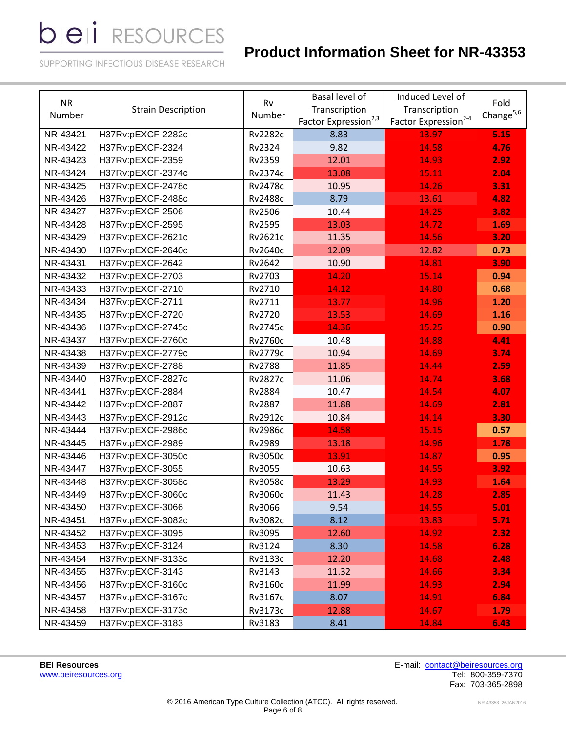# **Product Information Sheet for NR-43353**

SUPPORTING INFECTIOUS DISEASE RESEARCH

| <b>NR</b><br>Number | <b>Strain Description</b> | Rv<br>Number   | <b>Basal level of</b><br>Transcription<br>Factor Expression <sup>2,3</sup> | Induced Level of<br>Transcription<br>Factor Expression <sup>2-4</sup> | Fold<br>Change $5,6$ |
|---------------------|---------------------------|----------------|----------------------------------------------------------------------------|-----------------------------------------------------------------------|----------------------|
| NR-43421            | H37Rv:pEXCF-2282c         | <b>Rv2282c</b> | 8.83                                                                       | 13.97                                                                 | 5.15                 |
| NR-43422            | H37Rv:pEXCF-2324          | Rv2324         | 9.82                                                                       | 14.58                                                                 | 4.76                 |
| NR-43423            | H37Rv:pEXCF-2359          | Rv2359         | 12.01                                                                      | 14.93                                                                 | 2.92                 |
| NR-43424            | H37Rv:pEXCF-2374c         | Rv2374c        | 13.08                                                                      | 15.11                                                                 | 2.04                 |
| NR-43425            | H37Rv:pEXCF-2478c         | <b>Rv2478c</b> | 10.95                                                                      | 14.26                                                                 | 3.31                 |
| NR-43426            | H37Rv:pEXCF-2488c         | <b>Rv2488c</b> | 8.79                                                                       | 13.61                                                                 | 4.82                 |
| NR-43427            | H37Rv:pEXCF-2506          | Rv2506         | 10.44                                                                      | 14.25                                                                 | 3.82                 |
| NR-43428            | H37Rv:pEXCF-2595          | Rv2595         | 13.03                                                                      | 14.72                                                                 | 1.69                 |
| NR-43429            | H37Rv:pEXCF-2621c         | Rv2621c        | 11.35                                                                      | 14.56                                                                 | 3.20                 |
| NR-43430            | H37Rv:pEXCF-2640c         | <b>Rv2640c</b> | 12.09                                                                      | 12.82                                                                 | 0.73                 |
| NR-43431            | H37Rv:pEXCF-2642          | Rv2642         | 10.90                                                                      | 14.81                                                                 | 3.90                 |
| NR-43432            | H37Rv:pEXCF-2703          | Rv2703         | 14.20                                                                      | 15.14                                                                 | 0.94                 |
| NR-43433            | H37Rv:pEXCF-2710          | Rv2710         | 14.12                                                                      | 14.80                                                                 | 0.68                 |
| NR-43434            | H37Rv:pEXCF-2711          | Rv2711         | 13.77                                                                      | 14.96                                                                 | 1.20                 |
| NR-43435            | H37Rv:pEXCF-2720          | Rv2720         | 13.53                                                                      | 14.69                                                                 | 1.16                 |
| NR-43436            | H37Rv:pEXCF-2745c         | <b>Rv2745c</b> | 14.36                                                                      | 15.25                                                                 | 0.90                 |
| NR-43437            | H37Rv:pEXCF-2760c         | <b>Rv2760c</b> | 10.48                                                                      | 14.88                                                                 | 4.41                 |
| NR-43438            | H37Rv:pEXCF-2779c         | <b>Rv2779c</b> | 10.94                                                                      | 14.69                                                                 | 3.74                 |
| NR-43439            | H37Rv:pEXCF-2788          | <b>Rv2788</b>  | 11.85                                                                      | 14.44                                                                 | 2.59                 |
| NR-43440            | H37Rv:pEXCF-2827c         | <b>Rv2827c</b> | 11.06                                                                      | 14.74                                                                 | 3.68                 |
| NR-43441            | H37Rv:pEXCF-2884          | Rv2884         | 10.47                                                                      | 14.54                                                                 | 4.07                 |
| NR-43442            | H37Rv:pEXCF-2887          | <b>Rv2887</b>  | 11.88                                                                      | 14.69                                                                 | 2.81                 |
| NR-43443            | H37Rv:pEXCF-2912c         | Rv2912c        | 10.84                                                                      | 14.14                                                                 | 3.30                 |
| NR-43444            | H37Rv:pEXCF-2986c         | <b>Rv2986c</b> | 14.58                                                                      | 15.15                                                                 | 0.57                 |
| NR-43445            | H37Rv:pEXCF-2989          | Rv2989         | 13.18                                                                      | 14.96                                                                 | 1.78                 |
| NR-43446            | H37Rv:pEXCF-3050c         | Rv3050c        | 13.91                                                                      | 14.87                                                                 | 0.95                 |
| NR-43447            | H37Rv:pEXCF-3055          | Rv3055         | 10.63                                                                      | 14.55                                                                 | 3.92                 |
| NR-43448            | H37Rv:pEXCF-3058c         | Rv3058c        | 13.29                                                                      | 14.93                                                                 | 1.64                 |
| NR-43449            | H37Rv:pEXCF-3060c         | Rv3060c        | 11.43                                                                      | 14.28                                                                 | 2.85                 |
| NR-43450            | H37Rv:pEXCF-3066          | Rv3066         | 9.54                                                                       | 14.55                                                                 | 5.01                 |
| NR-43451            | H37Rv:pEXCF-3082c         | Rv3082c        | 8.12                                                                       | 13.83                                                                 | 5.71                 |
| NR-43452            | H37Rv:pEXCF-3095          | Rv3095         | 12.60                                                                      | 14.92                                                                 | 2.32                 |
| NR-43453            | H37Rv:pEXCF-3124          | Rv3124         | 8.30                                                                       | 14.58                                                                 | 6.28                 |
| NR-43454            | H37Rv:pEXNF-3133c         | Rv3133c        | 12.20                                                                      | 14.68                                                                 | 2.48                 |
| NR-43455            | H37Rv:pEXCF-3143          | Rv3143         | 11.32                                                                      | 14.66                                                                 | 3.34                 |
| NR-43456            | H37Rv:pEXCF-3160c         | Rv3160c        | 11.99                                                                      | 14.93                                                                 | 2.94                 |
| NR-43457            | H37Rv:pEXCF-3167c         | Rv3167c        | 8.07                                                                       | 14.91                                                                 | 6.84                 |
| NR-43458            | H37Rv:pEXCF-3173c         | Rv3173c        | 12.88                                                                      | 14.67                                                                 | 1.79                 |
| NR-43459            | H37Rv:pEXCF-3183          | Rv3183         | 8.41                                                                       | 14.84                                                                 | 6.43                 |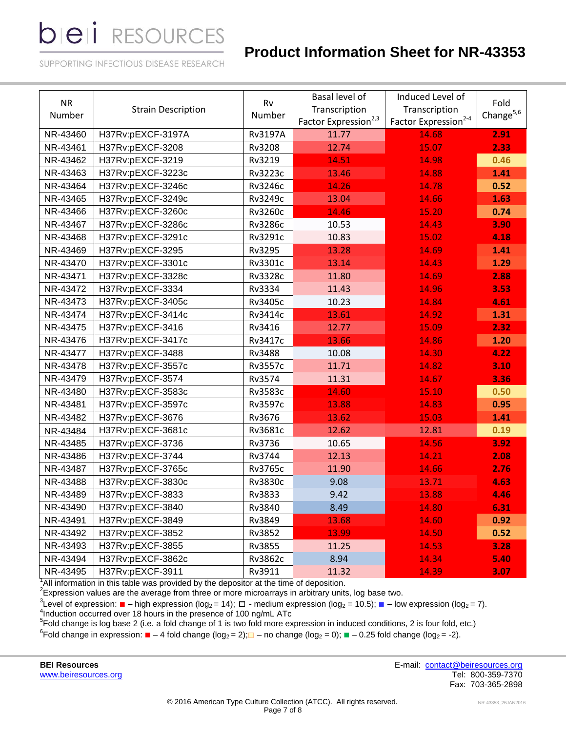# **Product Information Sheet for NR-43353**

SUPPORTING INFECTIOUS DISEASE RESEARCH

| <b>NR</b><br>Number | <b>Strain Description</b> | Rv<br>Number   | Basal level of<br>Transcription<br>Factor Expression <sup>2,3</sup> | Induced Level of<br>Transcription<br>Factor Expression <sup>2-4</sup> | Fold<br>Change $5,6$ |
|---------------------|---------------------------|----------------|---------------------------------------------------------------------|-----------------------------------------------------------------------|----------------------|
| NR-43460            | H37Rv:pEXCF-3197A         | <b>Rv3197A</b> | 11.77                                                               | 14.68                                                                 | 2.91                 |
| NR-43461            | H37Rv:pEXCF-3208          | Rv3208         | 12.74                                                               | 15.07                                                                 | 2.33                 |
| NR-43462            | H37Rv:pEXCF-3219          | Rv3219         | 14.51                                                               | 14.98                                                                 | 0.46                 |
| NR-43463            | H37Rv:pEXCF-3223c         | Rv3223c        | 13.46                                                               | 14.88                                                                 | 1.41                 |
| NR-43464            | H37Rv:pEXCF-3246c         | Rv3246c        | 14.26                                                               | 14.78                                                                 | 0.52                 |
| NR-43465            | H37Rv:pEXCF-3249c         | Rv3249c        | 13.04                                                               | 14.66                                                                 | 1.63                 |
| NR-43466            | H37Rv:pEXCF-3260c         | Rv3260c        | 14.46                                                               | 15.20                                                                 | 0.74                 |
| NR-43467            | H37Rv:pEXCF-3286c         | <b>Rv3286c</b> | 10.53                                                               | 14.43                                                                 | 3.90                 |
| NR-43468            | H37Rv:pEXCF-3291c         | Rv3291c        | 10.83                                                               | 15.02                                                                 | 4.18                 |
| NR-43469            | H37Rv:pEXCF-3295          | Rv3295         | 13.28                                                               | 14.69                                                                 | 1.41                 |
| NR-43470            | H37Rv:pEXCF-3301c         | Rv3301c        | 13.14                                                               | 14.43                                                                 | 1.29                 |
| NR-43471            | H37Rv:pEXCF-3328c         | <b>Rv3328c</b> | 11.80                                                               | 14.69                                                                 | 2.88                 |
| NR-43472            | H37Rv:pEXCF-3334          | Rv3334         | 11.43                                                               | 14.96                                                                 | 3.53                 |
| NR-43473            | H37Rv:pEXCF-3405c         | Rv3405c        | 10.23                                                               | 14.84                                                                 | 4.61                 |
| NR-43474            | H37Rv:pEXCF-3414c         | Rv3414c        | 13.61                                                               | 14.92                                                                 | 1.31                 |
| NR-43475            | H37Rv:pEXCF-3416          | Rv3416         | 12.77                                                               | 15.09                                                                 | 2.32                 |
| NR-43476            | H37Rv:pEXCF-3417c         | Rv3417c        | 13.66                                                               | 14.86                                                                 | 1.20                 |
| NR-43477            | H37Rv:pEXCF-3488          | Rv3488         | 10.08                                                               | 14.30                                                                 | 4.22                 |
| NR-43478            | H37Rv:pEXCF-3557c         | <b>Rv3557c</b> | 11.71                                                               | 14.82                                                                 | 3.10                 |
| NR-43479            | H37Rv:pEXCF-3574          | Rv3574         | 11.31                                                               | 14.67                                                                 | 3.36                 |
| NR-43480            | H37Rv:pEXCF-3583c         | Rv3583c        | 14.60                                                               | 15.10                                                                 | 0.50                 |
| NR-43481            | H37Rv:pEXCF-3597c         | Rv3597c        | 13.88                                                               | 14.83                                                                 | 0.95                 |
| NR-43482            | H37Rv:pEXCF-3676          | Rv3676         | 13.62                                                               | 15.03                                                                 | 1.41                 |
| NR-43484            | H37Rv:pEXCF-3681c         | Rv3681c        | 12.62                                                               | 12.81                                                                 | 0.19                 |
| NR-43485            | H37Rv:pEXCF-3736          | Rv3736         | 10.65                                                               | 14.56                                                                 | 3.92                 |
| NR-43486            | H37Rv:pEXCF-3744          | Rv3744         | 12.13                                                               | 14.21                                                                 | 2.08                 |
| NR-43487            | H37Rv:pEXCF-3765c         | Rv3765c        | 11.90                                                               | 14.66                                                                 | 2.76                 |
| NR-43488            | H37Rv:pEXCF-3830c         | Rv3830c        | 9.08                                                                | 13.71                                                                 | 4.63                 |
| NR-43489            | H37Rv:pEXCF-3833          | Rv3833         | 9.42                                                                | 13.88                                                                 | 4.46                 |
| NR-43490            | H37Rv:pEXCF-3840          | Rv3840         | 8.49                                                                | 14.80                                                                 | 6.31                 |
| NR-43491            | H37Rv:pEXCF-3849          | Rv3849         | 13.68                                                               | 14.60                                                                 | 0.92                 |
| NR-43492            | H37Rv:pEXCF-3852          | Rv3852         | 13.99                                                               | 14.50                                                                 | 0.52                 |
| NR-43493            | H37Rv:pEXCF-3855          | Rv3855         | 11.25                                                               | 14.53                                                                 | 3.28                 |
| NR-43494            | H37Rv:pEXCF-3862c         | Rv3862c        | 8.94                                                                | 14.34                                                                 | 5.40                 |
| NR-43495            | H37Rv:pEXCF-3911          | Rv3911         | 11.32                                                               | 14.39                                                                 | 3.07                 |

 $1$ All information in this table was provided by the depositor at the time of deposition.

 $2$ Expression values are the average from three or more microarrays in arbitrary units, log base two.

 ${}^{3}$ Level of expression:  $\blacksquare$  – high expression (log<sub>2</sub> = 14);  $\Box$  - medium expression (log<sub>2</sub> = 10.5);  $\blacksquare$  – low expression (log<sub>2</sub> = 7).<br><sup>4</sup>Induction occurred over 18 hours in the presence of 100 ng/mL ATc<br><sup>5</sup>Fo

<sup>6</sup>Fold change in expression: ■ – 4 fold change (log<sub>2</sub> = 2);■ – no change (log<sub>2</sub> = 0); ■ – 0.25 fold change (log<sub>2</sub> = -2).

[www.beiresources.org](http://www.beiresources.org/)

**BEI Resources** E-mail: [contact@beiresources.org](mailto:contact@beiresources.org) Fax: 703-365-2898